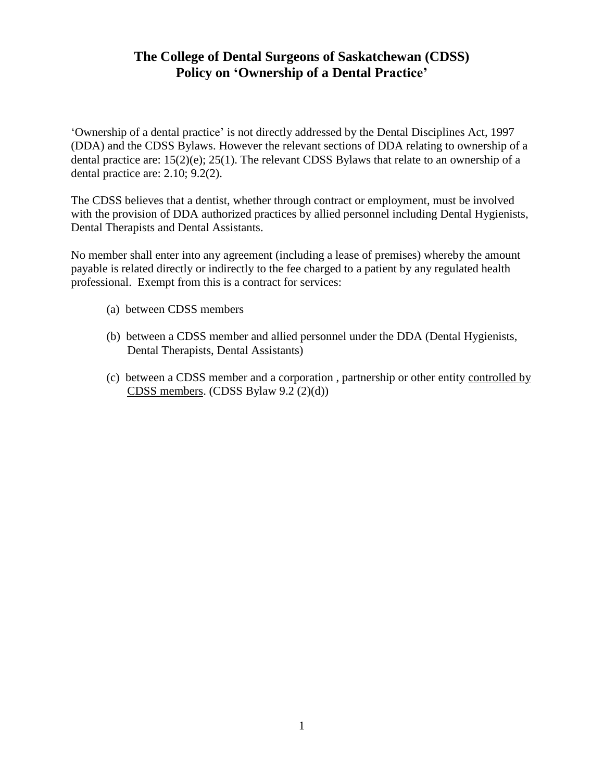#### **The College of Dental Surgeons of Saskatchewan (CDSS) Policy on "Ownership of a Dental Practice"**

'Ownership of a dental practice' is not directly addressed by the Dental Disciplines Act, 1997 (DDA) and the CDSS Bylaws. However the relevant sections of DDA relating to ownership of a dental practice are: 15(2)(e); 25(1). The relevant CDSS Bylaws that relate to an ownership of a dental practice are: 2.10; 9.2(2).

The CDSS believes that a dentist, whether through contract or employment, must be involved with the provision of DDA authorized practices by allied personnel including Dental Hygienists, Dental Therapists and Dental Assistants.

No member shall enter into any agreement (including a lease of premises) whereby the amount payable is related directly or indirectly to the fee charged to a patient by any regulated health professional. Exempt from this is a contract for services:

- (a) between CDSS members
- (b) between a CDSS member and allied personnel under the DDA (Dental Hygienists, Dental Therapists, Dental Assistants)
- (c) between a CDSS member and a corporation , partnership or other entity controlled by CDSS members. (CDSS Bylaw 9.2 (2)(d))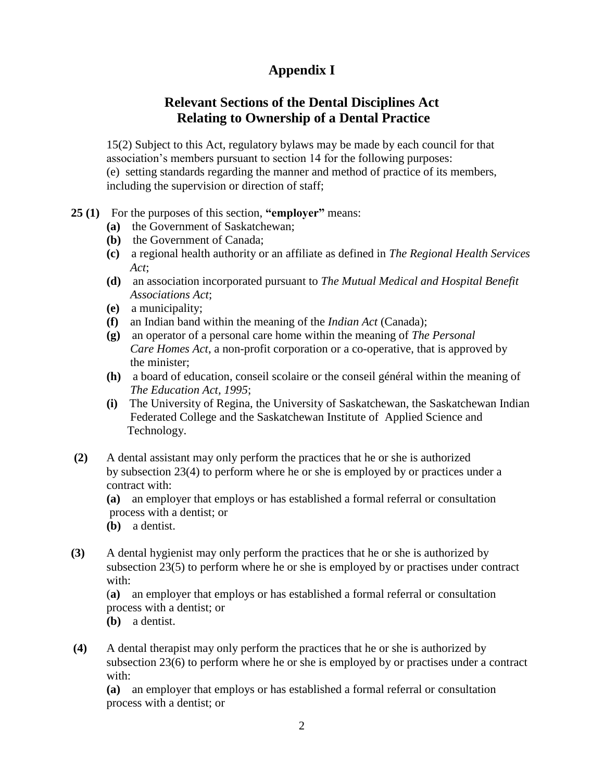# **Appendix I**

#### **Relevant Sections of the Dental Disciplines Act Relating to Ownership of a Dental Practice**

15(2) Subject to this Act, regulatory bylaws may be made by each council for that association's members pursuant to section 14 for the following purposes: (e) setting standards regarding the manner and method of practice of its members, including the supervision or direction of staff;

- **25 (1)** For the purposes of this section, **"employer"** means:
	- **(a)** the Government of Saskatchewan;
	- **(b)** the Government of Canada;
	- **(c)** a regional health authority or an affiliate as defined in *The Regional Health Services* *Act*;
	- **(d)** an association incorporated pursuant to *The Mutual Medical and Hospital Benefit Associations Act*;
	- **(e)** a municipality;
	- **(f)** an Indian band within the meaning of the *Indian Act* (Canada);
	- **(g)** an operator of a personal care home within the meaning of *The Personal Care Homes Act*, a non-profit corporation or a co-operative, that is approved by the minister;
	- **(h)** a board of education, conseil scolaire or the conseil général within the meaning of  *The Education Act, 1995*;
	- **(i)** The University of Regina, the University of Saskatchewan, the Saskatchewan Indian Federated College and the Saskatchewan Institute of Applied Science and Technology.
- **(2)** A dental assistant may only perform the practices that he or she is authorized by subsection 23(4) to perform where he or she is employed by or practices under a contract with:

**(a)** an employer that employs or has established a formal referral or consultation process with a dentist; or

- **(b)** a dentist.
- **(3)** A dental hygienist may only perform the practices that he or she is authorized by subsection 23(5) to perform where he or she is employed by or practises under contract with:

(**a)** an employer that employs or has established a formal referral or consultation process with a dentist; or

**(b)** a dentist.

**(4)** A dental therapist may only perform the practices that he or she is authorized by subsection 23(6) to perform where he or she is employed by or practises under a contract with:

**(a)** an employer that employs or has established a formal referral or consultation process with a dentist; or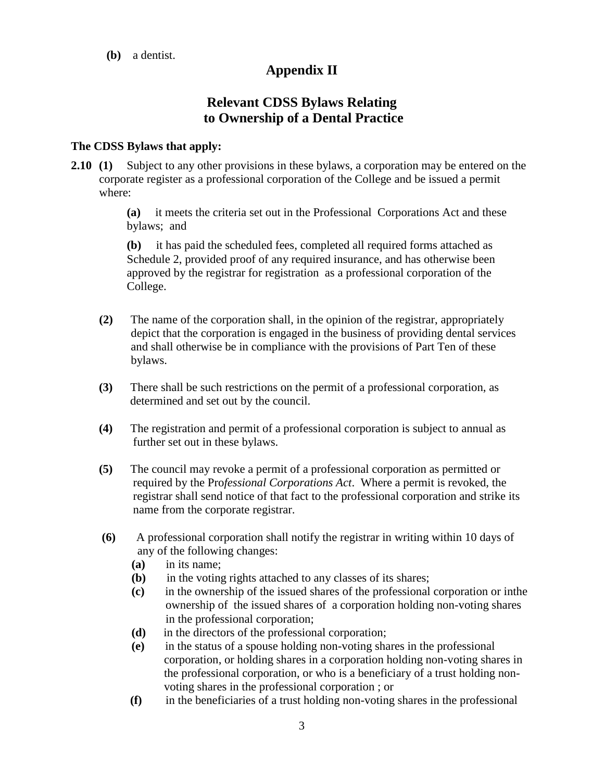**(b)** a dentist.

## **Appendix II**

## **Relevant CDSS Bylaws Relating to Ownership of a Dental Practice**

#### **The CDSS Bylaws that apply:**

**2.10 (1)** Subject to any other provisions in these bylaws, a corporation may be entered on the corporate register as a professional corporation of the College and be issued a permit where:

> **(a)** it meets the criteria set out in the Professional Corporations Act and these bylaws; and

**(b)** it has paid the scheduled fees, completed all required forms attached as Schedule 2, provided proof of any required insurance, and has otherwise been approved by the registrar for registration as a professional corporation of the College.

- **(2)** The name of the corporation shall, in the opinion of the registrar, appropriately depict that the corporation is engaged in the business of providing dental services and shall otherwise be in compliance with the provisions of Part Ten of these bylaws.
- **(3)** There shall be such restrictions on the permit of a professional corporation, as determined and set out by the council.
- **(4)** The registration and permit of a professional corporation is subject to annual as further set out in these bylaws.
- **(5)** The council may revoke a permit of a professional corporation as permitted or required by the Pro*fessional Corporations Act*. Where a permit is revoked, the registrar shall send notice of that fact to the professional corporation and strike its name from the corporate registrar.
- **(6)** A professional corporation shall notify the registrar in writing within 10 days of any of the following changes:
	- **(a)** in its name;
	- **(b)** in the voting rights attached to any classes of its shares;
	- **(c)** in the ownership of the issued shares of the professional corporation or inthe ownership of the issued shares of a corporation holding non-voting shares in the professional corporation;
	- **(d)** in the directors of the professional corporation;
	- **(e)** in the status of a spouse holding non-voting shares in the professional corporation, or holding shares in a corporation holding non-voting shares in the professional corporation, or who is a beneficiary of a trust holding non voting shares in the professional corporation ; or
	- **(f)** in the beneficiaries of a trust holding non-voting shares in the professional